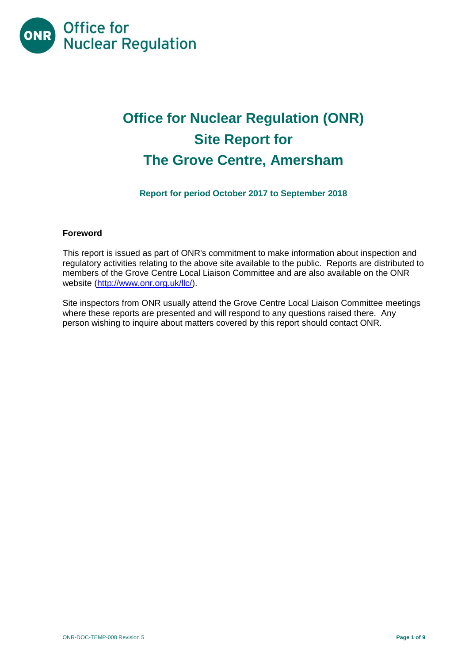

# **Office for Nuclear Regulation (ONR) Site Report for The Grove Centre, Amersham**

**Report for period October 2017 to September 2018**

## **Foreword**

This report is issued as part of ONR's commitment to make information about inspection and regulatory activities relating to the above site available to the public. Reports are distributed to members of the Grove Centre Local Liaison Committee and are also available on the ONR website [\(http://www.onr.org.uk/llc/\)](http://www.onr.org.uk/llc/).

Site inspectors from ONR usually attend the Grove Centre Local Liaison Committee meetings where these reports are presented and will respond to any questions raised there. Any person wishing to inquire about matters covered by this report should contact ONR.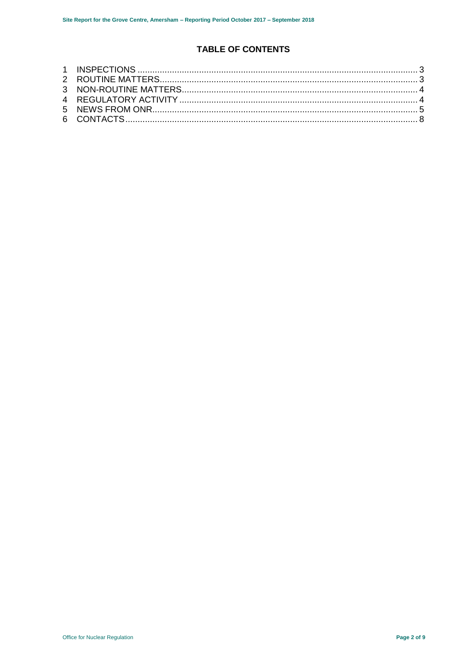## **TABLE OF CONTENTS**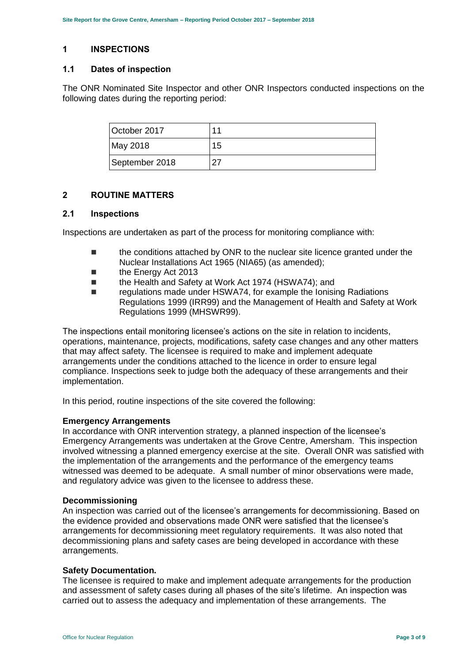## <span id="page-2-0"></span>**1 INSPECTIONS**

#### **1.1 Dates of inspection**

The ONR Nominated Site Inspector and other ONR Inspectors conducted inspections on the following dates during the reporting period:

| October 2017   | 11   |
|----------------|------|
| May 2018       | 15   |
| September 2018 | - 27 |

## <span id="page-2-1"></span>**2 ROUTINE MATTERS**

#### **2.1 Inspections**

Inspections are undertaken as part of the process for monitoring compliance with:

- **the conditions attached by ONR to the nuclear site licence granted under the** Nuclear Installations Act 1965 (NIA65) (as amended);
- the Energy Act 2013
- the Health and Safety at Work Act 1974 (HSWA74); and
- regulations made under HSWA74, for example the Ionising Radiations Regulations 1999 (IRR99) and the Management of Health and Safety at Work Regulations 1999 (MHSWR99).

The inspections entail monitoring licensee's actions on the site in relation to incidents, operations, maintenance, projects, modifications, safety case changes and any other matters that may affect safety. The licensee is required to make and implement adequate arrangements under the conditions attached to the licence in order to ensure legal compliance. Inspections seek to judge both the adequacy of these arrangements and their implementation.

In this period, routine inspections of the site covered the following:

#### **Emergency Arrangements**

In accordance with ONR intervention strategy, a planned inspection of the licensee's Emergency Arrangements was undertaken at the Grove Centre, Amersham. This inspection involved witnessing a planned emergency exercise at the site. Overall ONR was satisfied with the implementation of the arrangements and the performance of the emergency teams witnessed was deemed to be adequate. A small number of minor observations were made, and regulatory advice was given to the licensee to address these.

#### **Decommissioning**

An inspection was carried out of the licensee's arrangements for decommissioning. Based on the evidence provided and observations made ONR were satisfied that the licensee's arrangements for decommissioning meet regulatory requirements. It was also noted that decommissioning plans and safety cases are being developed in accordance with these arrangements.

#### **Safety Documentation.**

The licensee is required to make and implement adequate arrangements for the production and assessment of safety cases during all phases of the site's lifetime. An inspection was carried out to assess the adequacy and implementation of these arrangements. The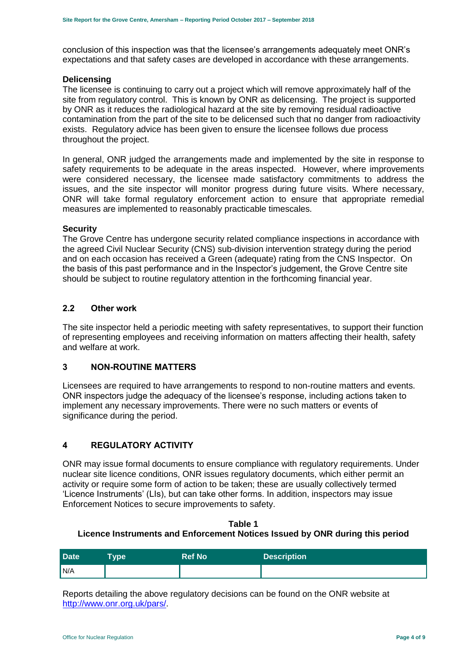conclusion of this inspection was that the licensee's arrangements adequately meet ONR's expectations and that safety cases are developed in accordance with these arrangements.

#### **Delicensing**

The licensee is continuing to carry out a project which will remove approximately half of the site from regulatory control. This is known by ONR as delicensing. The project is supported by ONR as it reduces the radiological hazard at the site by removing residual radioactive contamination from the part of the site to be delicensed such that no danger from radioactivity exists. Regulatory advice has been given to ensure the licensee follows due process throughout the project.

In general, ONR judged the arrangements made and implemented by the site in response to safety requirements to be adequate in the areas inspected. However, where improvements were considered necessary, the licensee made satisfactory commitments to address the issues, and the site inspector will monitor progress during future visits. Where necessary, ONR will take formal regulatory enforcement action to ensure that appropriate remedial measures are implemented to reasonably practicable timescales.

#### **Security**

The Grove Centre has undergone security related compliance inspections in accordance with the agreed Civil Nuclear Security (CNS) sub-division intervention strategy during the period and on each occasion has received a Green (adequate) rating from the CNS Inspector. On the basis of this past performance and in the Inspector's judgement, the Grove Centre site should be subject to routine regulatory attention in the forthcoming financial year.

### **2.2 Other work**

The site inspector held a periodic meeting with safety representatives, to support their function of representing employees and receiving information on matters affecting their health, safety and welfare at work.

## <span id="page-3-0"></span>**3 NON-ROUTINE MATTERS**

Licensees are required to have arrangements to respond to non-routine matters and events. ONR inspectors judge the adequacy of the licensee's response, including actions taken to implement any necessary improvements. There were no such matters or events of significance during the period.

## <span id="page-3-1"></span>**4 REGULATORY ACTIVITY**

ONR may issue formal documents to ensure compliance with regulatory requirements. Under nuclear site licence conditions, ONR issues regulatory documents, which either permit an activity or require some form of action to be taken; these are usually collectively termed 'Licence Instruments' (LIs), but can take other forms. In addition, inspectors may issue Enforcement Notices to secure improvements to safety.

**Table 1 Licence Instruments and Enforcement Notices Issued by ONR during this period**

| Date             | <b>Type</b> | <b>Ref No</b> | <b>Description</b> |
|------------------|-------------|---------------|--------------------|
| $\big \big  N/A$ |             |               |                    |

Reports detailing the above regulatory decisions can be found on the ONR website at [http://www.onr.org.uk/pars/.](http://www.onr.org.uk/pars/)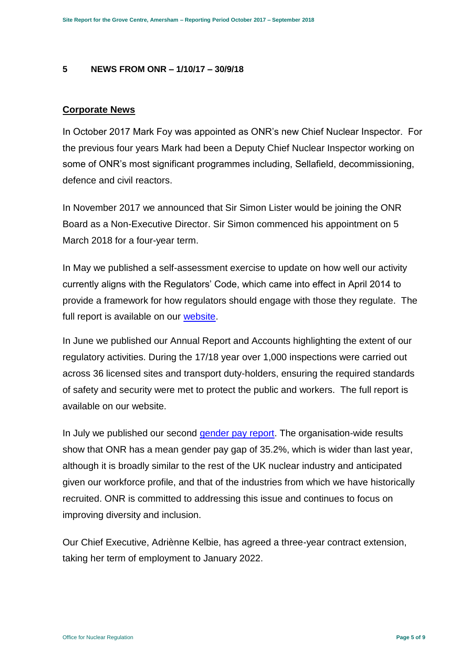## <span id="page-4-0"></span>**5 NEWS FROM ONR – 1/10/17 – 30/9/18**

## **Corporate News**

In October 2017 Mark Foy was appointed as ONR's new Chief Nuclear Inspector. For the previous four years Mark had been a Deputy Chief Nuclear Inspector working on some of ONR's most significant programmes including, Sellafield, decommissioning, defence and civil reactors.

In November 2017 we announced that Sir Simon Lister would be joining the ONR Board as a Non-Executive Director. Sir Simon commenced his appointment on 5 March 2018 for a four-year term.

In May we published a self-assessment exercise to update on how well our activity currently aligns with the Regulators' Code, which came into effect in April 2014 to provide a framework for how regulators should engage with those they regulate. The full report is available on our [website.](http://www.onr.org.uk/regulators-code.htm)

In June we published our Annual Report and Accounts highlighting the extent of our regulatory activities. During the 17/18 year over 1,000 inspections were carried out across 36 licensed sites and transport duty-holders, ensuring the required standards of safety and security were met to protect the public and workers. The full report is available on our website.

In July we published our second [gender pay report.](http://news.onr.org.uk/2018/07/onr-publishes-second-gender-pay-report/) The organisation-wide results show that ONR has a mean gender pay gap of 35.2%, which is wider than last year, although it is broadly similar to the rest of the UK nuclear industry and anticipated given our workforce profile, and that of the industries from which we have historically recruited. ONR is committed to addressing this issue and continues to focus on improving diversity and inclusion.

Our Chief Executive, Adriènne Kelbie, has agreed a three-year contract extension, taking her term of employment to January 2022.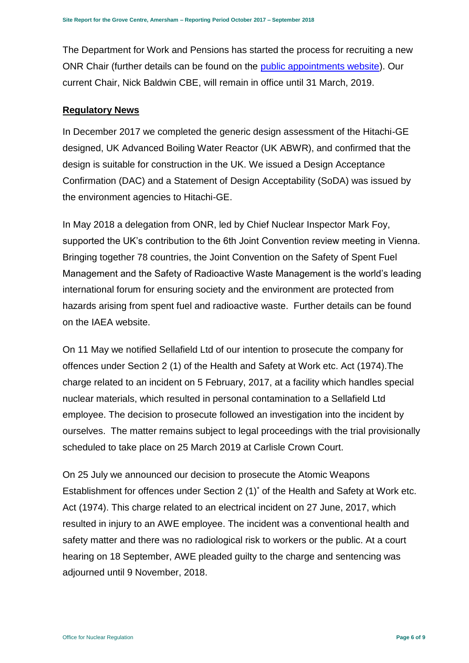The Department for Work and Pensions has started the process for recruiting a new ONR Chair (further details can be found on the [public appointments website\)](https://publicappointments.cabinetoffice.gov.uk/appointment/chair-the-office-for-nuclear-regulations/). Our current Chair, Nick Baldwin CBE, will remain in office until 31 March, 2019.

## **Regulatory News**

In December 2017 we completed the generic design assessment of the Hitachi-GE designed, UK Advanced Boiling Water Reactor (UK ABWR), and confirmed that the design is suitable for construction in the UK. We issued a Design Acceptance Confirmation (DAC) and a Statement of Design Acceptability (SoDA) was issued by the environment agencies to Hitachi-GE.

In May 2018 a delegation from ONR, led by Chief Nuclear Inspector Mark Foy, supported the UK's contribution to the 6th Joint Convention review meeting in Vienna. Bringing together 78 countries, the Joint Convention on the Safety of Spent Fuel Management and the Safety of Radioactive Waste Management is the world's leading international forum for ensuring society and the environment are protected from hazards arising from spent fuel and radioactive waste. Further details can be found on the IAEA website.

On 11 May we notified Sellafield Ltd of our intention to prosecute the company for offences under Section 2 (1) of the Health and Safety at Work etc. Act (1974).The charge related to an incident on 5 February, 2017, at a facility which handles special nuclear materials, which resulted in personal contamination to a Sellafield Ltd employee. The decision to prosecute followed an investigation into the incident by ourselves. The matter remains subject to legal proceedings with the trial provisionally scheduled to take place on 25 March 2019 at Carlisle Crown Court.

On 25 July we announced our decision to prosecute the Atomic Weapons Establishment for offences under Section 2 (1)\* of the Health and Safety at Work etc. Act (1974). This charge related to an electrical incident on 27 June, 2017, which resulted in injury to an AWE employee. The incident was a conventional health and safety matter and there was no radiological risk to workers or the public. At a court hearing on 18 September, AWE pleaded guilty to the charge and sentencing was adjourned until 9 November, 2018.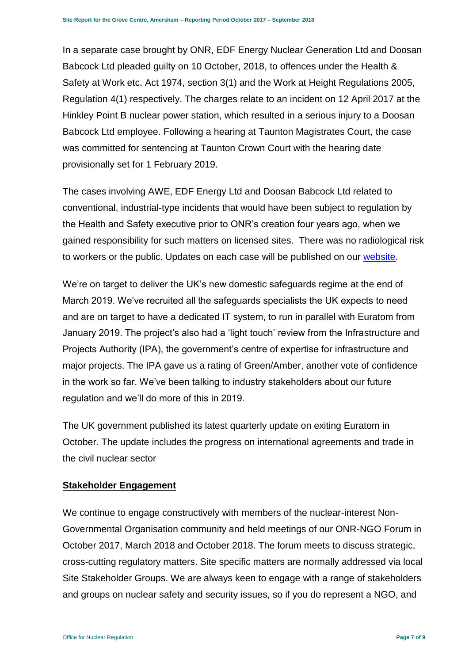In a separate case brought by ONR, EDF Energy Nuclear Generation Ltd and Doosan Babcock Ltd pleaded guilty on 10 October, 2018, to offences under the Health & Safety at Work etc. Act 1974, section 3(1) and the Work at Height Regulations 2005, Regulation 4(1) respectively. The charges relate to an incident on 12 April 2017 at the Hinkley Point B nuclear power station, which resulted in a serious injury to a Doosan Babcock Ltd employee. Following a hearing at Taunton Magistrates Court, the case was committed for sentencing at Taunton Crown Court with the hearing date provisionally set for 1 February 2019.

The cases involving AWE, EDF Energy Ltd and Doosan Babcock Ltd related to conventional, industrial-type incidents that would have been subject to regulation by the Health and Safety executive prior to ONR's creation four years ago, when we gained responsibility for such matters on licensed sites. There was no radiological risk to workers or the public. Updates on each case will be published on our [website.](http://www.onr.org.uk/index.htm)

We're on target to deliver the UK's new domestic safeguards regime at the end of March 2019. We've recruited all the safeguards specialists the UK expects to need and are on target to have a dedicated IT system, to run in parallel with Euratom from January 2019. The project's also had a 'light touch' review from the Infrastructure and Projects Authority (IPA), the government's centre of expertise for infrastructure and major projects. The IPA gave us a rating of Green/Amber, another vote of confidence in the work so far. We've been talking to industry stakeholders about our future regulation and we'll do more of this in 2019.

The UK government published its latest quarterly update on exiting Euratom in October. The update includes the progress on international agreements and trade in the civil nuclear sector

## **Stakeholder Engagement**

We continue to engage constructively with members of the nuclear-interest Non-Governmental Organisation community and held meetings of our ONR-NGO Forum in October 2017, March 2018 and October 2018. The forum meets to discuss strategic, cross-cutting regulatory matters. Site specific matters are normally addressed via local Site Stakeholder Groups. We are always keen to engage with a range of stakeholders and groups on nuclear safety and security issues, so if you do represent a NGO, and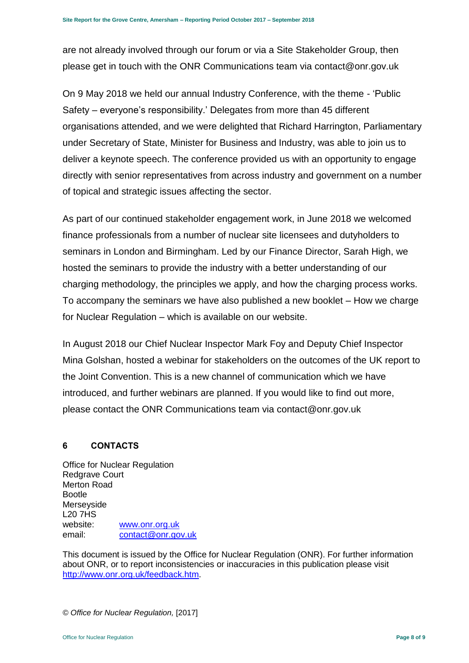are not already involved through our forum or via a Site Stakeholder Group, then please get in touch with the ONR Communications team via contact@onr.gov.uk

On 9 May 2018 we held our annual Industry Conference, with the theme - 'Public Safety – everyone's responsibility.' Delegates from more than 45 different organisations attended, and we were delighted that Richard Harrington, Parliamentary under Secretary of State, Minister for Business and Industry, was able to join us to deliver a keynote speech. The conference provided us with an opportunity to engage directly with senior representatives from across industry and government on a number of topical and strategic issues affecting the sector.

As part of our continued stakeholder engagement work, in June 2018 we welcomed finance professionals from a number of nuclear site licensees and dutyholders to seminars in London and Birmingham. Led by our Finance Director, Sarah High, we hosted the seminars to provide the industry with a better understanding of our charging methodology, the principles we apply, and how the charging process works. To accompany the seminars we have also published a new booklet – How we charge for Nuclear Regulation – which is available on our website.

In August 2018 our Chief Nuclear Inspector Mark Foy and Deputy Chief Inspector Mina Golshan, hosted a webinar for stakeholders on the outcomes of the UK report to the Joint Convention. This is a new channel of communication which we have introduced, and further webinars are planned. If you would like to find out more, please contact the ONR Communications team via contact@onr.gov.uk

## <span id="page-7-0"></span>**6 CONTACTS**

Office for Nuclear Regulation Redgrave Court Merton Road Bootle Merseyside L20 7HS website: [www.onr.org.uk](http://www.onr.org.uk/) email: [contact@onr.gov.uk](mailto:ONREnquiries@onr.gsi.gov.uk)

This document is issued by the Office for Nuclear Regulation (ONR). For further information about ONR, or to report inconsistencies or inaccuracies in this publication please visit [http://www.onr.org.uk/feedback.htm.](http://www.onr.org.uk/feedback.htm)

*© Office for Nuclear Regulation,* [2017]